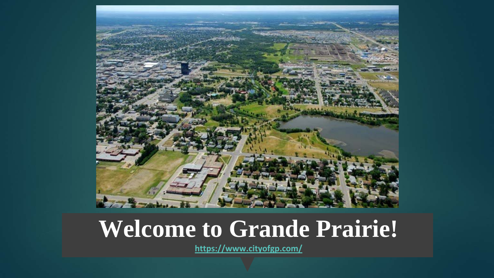

#### **Welcome to Grande Prairie!**

**<https://www.cityofgp.com/>**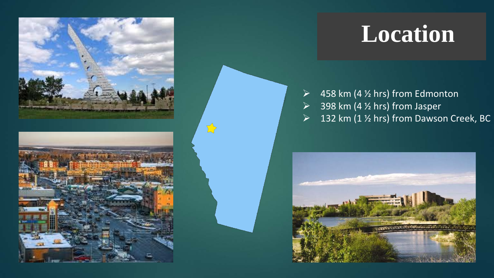



 $\sum$ 

### **Location**

- $\geq$  458 km (4 ½ hrs) from Edmonton
- $\geq$  398 km (4  $\frac{1}{2}$  hrs) from Jasper
- $\triangleright$  132 km (1 ½ hrs) from Dawson Creek, BC

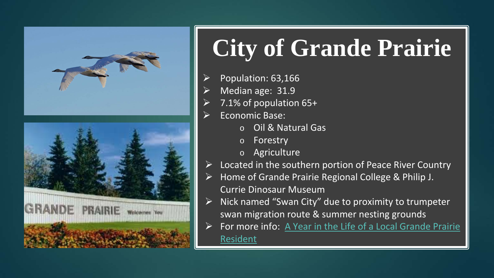



# **City of Grande Prairie**

- Population: 63,166
- Median age: 31.9
- 7.1% of population 65+
- $\triangleright$  Economic Base:
	- o Oil & Natural Gas
	- o Forestry
	- o Agriculture
- $\triangleright$  Located in the southern portion of Peace River Country
- $\triangleright$  Home of Grande Prairie Regional College & Philip J. Currie Dinosaur Museum
- $\triangleright$  Nick named "Swan City" due to proximity to trumpeter swan migration route & summer nesting grounds
- [For more info: A Year in the Life of a Local Grande Prairie](https://youtu.be/Vie1K5OFdrA) **Resident**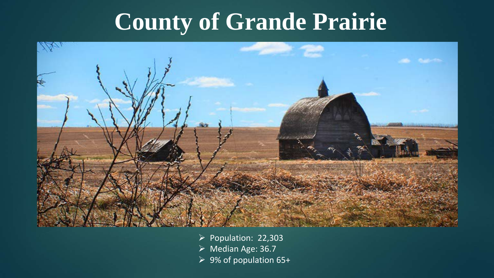## **County of Grande Prairie**



- $\triangleright$  Population: 22,303
- Median Age: 36.7
- 9% of population 65+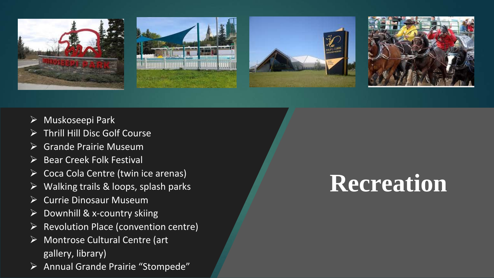







- Muskoseepi Park
- Thrill Hill Disc Golf Course
- $\triangleright$  Grande Prairie Museum
- Bear Creek Folk Festival
- $\triangleright$  Coca Cola Centre (twin ice arenas)
- Walking trails & loops, splash parks
- $\triangleright$  Currie Dinosaur Museum
- $\triangleright$  Downhill & x-country skiing
- $\triangleright$  Revolution Place (convention centre)
- Montrose Cultural Centre (art gallery, library)
- Annual Grande Prairie "Stompede "

## **Recreation**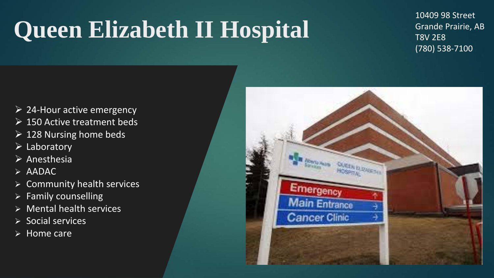# **Queen Elizabeth II Hospital**

10409 98 Street Grande Prairie, AB T8V 2E8 (780) 538-7100

- $\geq 24$ -Hour active emergency
- $\triangleright$  150 Active treatment beds
- $\geq$  128 Nursing home beds
- $\triangleright$  Laboratory
- $\triangleright$  Anesthesia
- $\triangleright$  AADAC
- $\triangleright$  Community health services
- $\triangleright$  Family counselling
- $\triangleright$  Mental health services
- $\triangleright$  Social services
- $\triangleright$  Home care

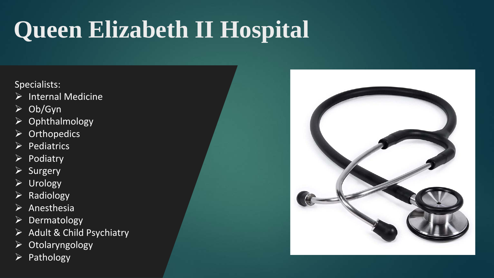# **Queen Elizabeth II Hospital**

Specialists:

- $\triangleright$  Internal Medicine
- $\triangleright$  Ob/Gyn
- $\triangleright$  Ophthalmology
- $\triangleright$  Orthopedics
- $\triangleright$  Pediatrics
- $\triangleright$  Podiatry
- $\triangleright$  Surgery
- Urology
- $\triangleright$  Radiology
- $\triangleright$  Anesthesia
- $\triangleright$  Dermatology
- $\triangleright$  Adult & Child Psychiatry
- $\triangleright$  Otolaryngology
- $\triangleright$  Pathology